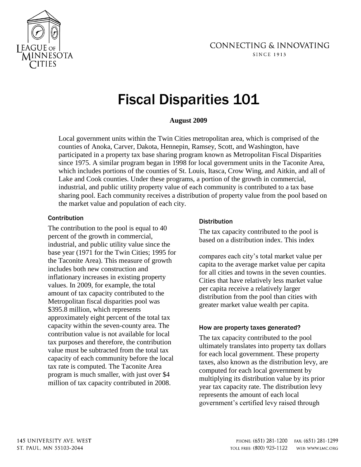

# Fiscal Disparities 101

## **August 2009**

Local government units within the Twin Cities metropolitan area, which is comprised of the counties of Anoka, Carver, Dakota, Hennepin, Ramsey, Scott, and Washington, have participated in a property tax base sharing program known as Metropolitan Fiscal Disparities since 1975. A similar program began in 1998 for local government units in the Taconite Area, which includes portions of the counties of St. Louis, Itasca, Crow Wing, and Aitkin, and all of Lake and Cook counties. Under these programs, a portion of the growth in commercial, industrial, and public utility property value of each community is contributed to a tax base sharing pool. Each community receives a distribution of property value from the pool based on the market value and population of each city.

## Contribution

The contribution to the pool is equal to 40 percent of the growth in commercial, industrial, and public utility value since the base year (1971 for the Twin Cities; 1995 for the Taconite Area). This measure of growth includes both new construction and inflationary increases in existing property values. In 2009, for example, the total amount of tax capacity contributed to the Metropolitan fiscal disparities pool was \$395.8 million, which represents approximately eight percent of the total tax capacity within the seven-county area. The contribution value is not available for local tax purposes and therefore, the contribution value must be subtracted from the total tax capacity of each community before the local tax rate is computed. The Taconite Area program is much smaller, with just over \$4 million of tax capacity contributed in 2008.

## **Distribution**

The tax capacity contributed to the pool is based on a distribution index. This index

compares each city's total market value per capita to the average market value per capita for all cities and towns in the seven counties. Cities that have relatively less market value per capita receive a relatively larger distribution from the pool than cities with greater market value wealth per capita.

# How are property taxes generated?

The tax capacity contributed to the pool ultimately translates into property tax dollars for each local government. These property taxes, also known as the distribution levy, are computed for each local government by multiplying its distribution value by its prior year tax capacity rate. The distribution levy represents the amount of each local government's certified levy raised through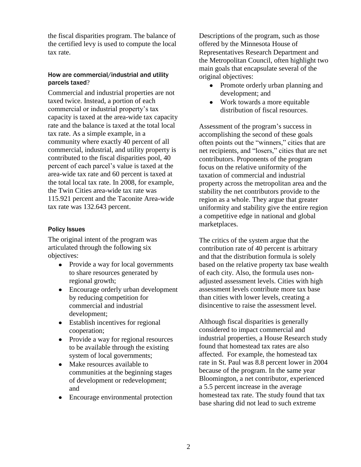the fiscal disparities program. The balance of the certified levy is used to compute the local tax rate.

## How are commercial/industrial and utility parcels taxed?

Commercial and industrial properties are not taxed twice. Instead, a portion of each commercial or industrial property's tax capacity is taxed at the area-wide tax capacity rate and the balance is taxed at the total local tax rate. As a simple example, in a community where exactly 40 percent of all commercial, industrial, and utility property is contributed to the fiscal disparities pool, 40 percent of each parcel's value is taxed at the area-wide tax rate and 60 percent is taxed at the total local tax rate. In 2008, for example, the Twin Cities area-wide tax rate was 115.921 percent and the Taconite Area-wide tax rate was 132.643 percent.

## Policy Issues

The original intent of the program was articulated through the following six objectives:

- Provide a way for local governments to share resources generated by regional growth;
- Encourage orderly urban development by reducing competition for commercial and industrial development;
- Establish incentives for regional cooperation;
- Provide a way for regional resources to be available through the existing system of local governments;
- Make resources available to communities at the beginning stages of development or redevelopment; and
- Encourage environmental protection

Descriptions of the program, such as those offered by the Minnesota House of Representatives Research Department and the Metropolitan Council, often highlight two main goals that encapsulate several of the original objectives:

- Promote orderly urban planning and  $\bullet$ development; and
- Work towards a more equitable  $\bullet$ distribution of fiscal resources.

Assessment of the program's success in accomplishing the second of these goals often points out the "winners," cities that are net recipients, and "losers," cities that are net contributors. Proponents of the program focus on the relative uniformity of the taxation of commercial and industrial property across the metropolitan area and the stability the net contributors provide to the region as a whole. They argue that greater uniformity and stability give the entire region a competitive edge in national and global marketplaces.

The critics of the system argue that the contribution rate of 40 percent is arbitrary and that the distribution formula is solely based on the relative property tax base wealth of each city. Also, the formula uses nonadjusted assessment levels. Cities with high assessment levels contribute more tax base than cities with lower levels, creating a disincentive to raise the assessment level.

Although fiscal disparities is generally considered to impact commercial and industrial properties, a House Research study found that homestead tax rates are also affected. For example, the homestead tax rate in St. Paul was 8.8 percent lower in 2004 because of the program. In the same year Bloomington, a net contributor, experienced a 5.5 percent increase in the average homestead tax rate. The study found that tax base sharing did not lead to such extreme